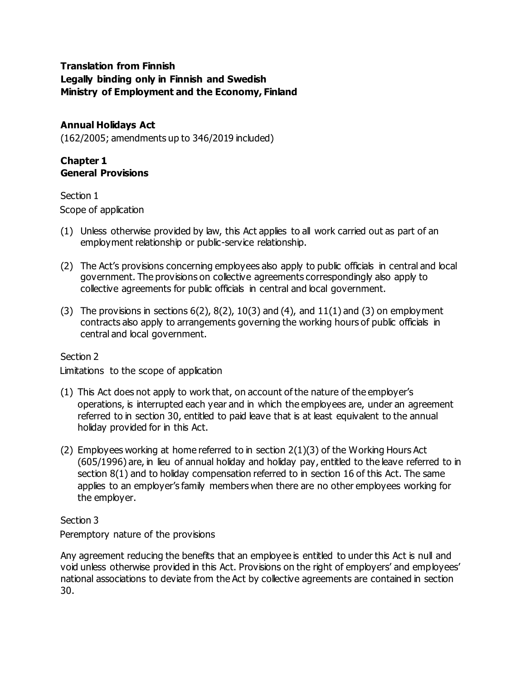# **Translation from Finnish Legally binding only in Finnish and Swedish Ministry of Employment and the Economy, Finland**

**Annual Holidays Act** (162/2005; amendments up to 346/2019 included)

# **Chapter 1 General Provisions**

Section 1 Scope of application

- (1) Unless otherwise provided by law, this Act applies to all work carried out as part of an employment relationship or public-service relationship.
- (2) The Act's provisions concerning employees also apply to public officials in central and local government. The provisions on collective agreements correspondingly also apply to collective agreements for public officials in central and local government.
- (3) The provisions in sections  $6(2)$ ,  $8(2)$ ,  $10(3)$  and  $(4)$ , and  $11(1)$  and  $(3)$  on employment contracts also apply to arrangements governing the working hours of public officials in central and local government.

## Section 2

Limitations to the scope of application

- (1) This Act does not apply to work that, on account of the nature of the employer's operations, is interrupted each year and in which the employees are, under an agreement referred to in section 30, entitled to paid leave that is at least equivalent to the annual holiday provided for in this Act.
- (2) Employees working at home referred to in section  $2(1)(3)$  of the Working Hours Act (605/1996) are, in lieu of annual holiday and holiday pay, entitled to the leave referred to in section 8(1) and to holiday compensation referred to in section 16 of this Act. The same applies to an employer's family members when there are no other employees working for the employer.

# Section 3

Peremptory nature of the provisions

Any agreement reducing the benefits that an employee is entitled to under this Act is null and void unless otherwise provided in this Act. Provisions on the right of employers' and employees' national associations to deviate from the Act by collective agreements are contained in section 30.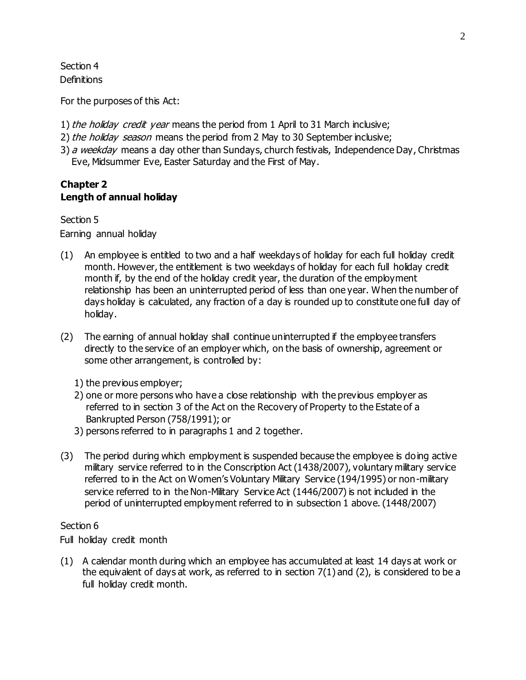Section 4 **Definitions** 

For the purposes of this Act:

- 1) the holiday credit year means the period from 1 April to 31 March inclusive;
- 2) the holiday season means the period from 2 May to 30 September inclusive;
- 3) a weekday means a day other than Sundays, church festivals, Independence Day, Christmas Eve, Midsummer Eve, Easter Saturday and the First of May.

# **Chapter 2 Length of annual holiday**

Section 5 Earning annual holiday

- (1) An employee is entitled to two and a half weekdays of holiday for each full holiday credit month. However, the entitlement is two weekdays of holiday for each full holiday credit month if, by the end of the holiday credit year, the duration of the employment relationship has been an uninterrupted period of less than one year. When the number of days holiday is calculated, any fraction of a day is rounded up to constitute one full day of holiday.
- (2) The earning of annual holiday shall continue uninterrupted if the employee transfers directly to the service of an employer which, on the basis of ownership, agreement or some other arrangement, is controlled by:
	- 1) the previous employer;
	- 2) one or more persons who have a close relationship with the previous employer as referred to in section 3 of the Act on the Recovery of Property to the Estate of a Bankrupted Person (758/1991); or
	- 3) persons referred to in paragraphs 1 and 2 together.
- (3) The period during which employment is suspended because the employee is doing active military service referred to in the Conscription Act (1438/2007), voluntary military service referred to in the Act on Women's Voluntary Military Service (194/1995) or non-military service referred to in the Non-Military Service Act (1446/2007) is not included in the period of uninterrupted employment referred to in subsection 1 above. (1448/2007)

## Section 6

Full holiday credit month

(1) A calendar month during which an employee has accumulated at least 14 days at work or the equivalent of days at work, as referred to in section  $7(1)$  and  $(2)$ , is considered to be a full holiday credit month.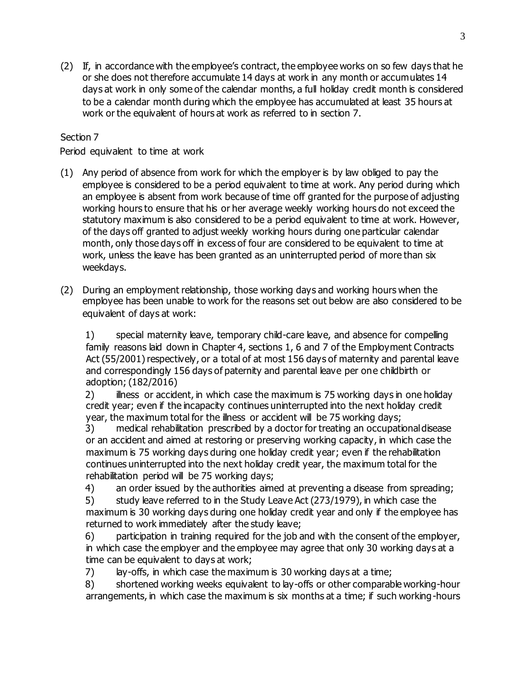(2) If, in accordance with the employee's contract, the employee works on so few days that he or she does not therefore accumulate 14 days at work in any month or accumulates 14 days at work in only some of the calendar months, a full holiday credit month is considered to be a calendar month during which the employee has accumulated at least 35 hours at work or the equivalent of hours at work as referred to in section 7.

# Section 7

Period equivalent to time at work

- (1) Any period of absence from work for which the employer is by law obliged to pay the employee is considered to be a period equivalent to time at work. Any period during which an employee is absent from work because of time off granted for the purpose of adjusting working hours to ensure that his or her average weekly working hours do not exceed the statutory maximum is also considered to be a period equivalent to time at work. However, of the days off granted to adjust weekly working hours during one particular calendar month, only those days off in excess of four are considered to be equivalent to time at work, unless the leave has been granted as an uninterrupted period of more than six weekdays.
- (2) During an employment relationship, those working days and working hours when the employee has been unable to work for the reasons set out below are also considered to be equivalent of days at work:

1) special maternity leave, temporary child-care leave, and absence for compelling family reasons laid down in Chapter 4, sections 1, 6 and 7 of the Employment Contracts Act (55/2001) respectively, or a total of at most 156 days of maternity and parental leave and correspondingly 156 days of paternity and parental leave per one childbirth or adoption; (182/2016)

2) illness or accident, in which case the maximum is 75 working days in one holiday credit year; even if the incapacity continues uninterrupted into the next holiday credit year, the maximum total for the illness or accident will be 75 working days;

3) medical rehabilitation prescribed by a doctor for treating an occupational disease or an accident and aimed at restoring or preserving working capacity, in which case the maximum is 75 working days during one holiday credit year; even if the rehabilitation continues uninterrupted into the next holiday credit year, the maximum total for the rehabilitation period will be 75 working days;

4) an order issued by the authorities aimed at preventing a disease from spreading;

5) study leave referred to in the Study Leave Act (273/1979), in which case the maximum is 30 working days during one holiday credit year and only if the employee has returned to work immediately after the study leave;

6) participation in training required for the job and with the consent of the employer, in which case the employer and the employee may agree that only 30 working days at a time can be equivalent to days at work;

7) lay-offs, in which case the maximum is 30 working days at a time;

8) shortened working weeks equivalent to lay-offs or other comparable working-hour arrangements, in which case the maximum is six months at a time; if such working-hours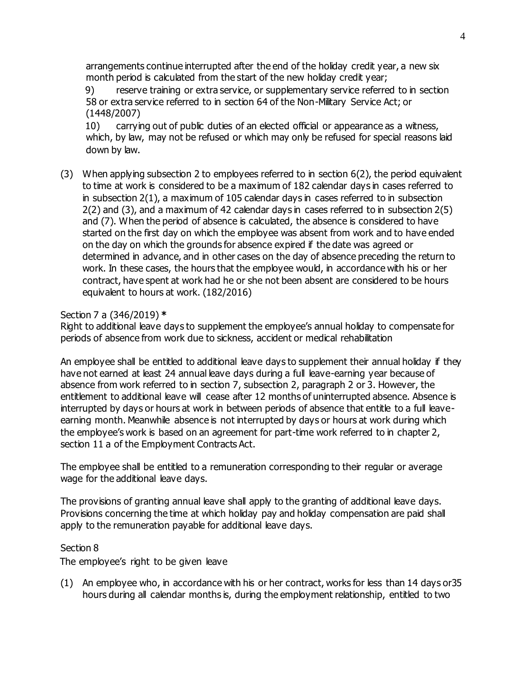arrangements continue interrupted after the end of the holiday credit year, a new six month period is calculated from the start of the new holiday credit year;

9) reserve training or extra service, or supplementary service referred to in section 58 or extra service referred to in section 64 of the Non-Military Service Act; or (1448/2007)

10) carrying out of public duties of an elected official or appearance as a witness, which, by law, may not be refused or which may only be refused for special reasons laid down by law.

(3) When applying subsection 2 to employees referred to in section 6(2), the period equivalent to time at work is considered to be a maximum of 182 calendar days in cases referred to in subsection 2(1), a maximum of 105 calendar days in cases referred to in subsection 2(2) and (3), and a maximum of 42 calendar days in cases referred to in subsection 2(5) and (7). When the period of absence is calculated, the absence is considered to have started on the first day on which the employee was absent from work and to have ended on the day on which the grounds for absence expired if the date was agreed or determined in advance, and in other cases on the day of absence preceding the return to work. In these cases, the hours that the employee would, in accordance with his or her contract, have spent at work had he or she not been absent are considered to be hours equivalent to hours at work. (182/2016)

#### Section 7 a (346/2019) **\***

Right to additional leave days to supplement the employee's annual holiday to compensate for periods of absence from work due to sickness, accident or medical rehabilitation

An employee shall be entitled to additional leave days to supplement their annual holiday if they have not earned at least 24 annual leave days during a full leave-earning year because of absence from work referred to in section 7, subsection 2, paragraph 2 or 3. However, the entitlement to additional leave will cease after 12 months of uninterrupted absence. Absence is interrupted by days or hours at work in between periods of absence that entitle to a full leaveearning month. Meanwhile absence is not interrupted by days or hours at work during which the employee's work is based on an agreement for part-time work referred to in chapter 2, section 11 a of the Employment Contracts Act.

The employee shall be entitled to a remuneration corresponding to their regular or average wage for the additional leave days.

The provisions of granting annual leave shall apply to the granting of additional leave days. Provisions concerning the time at which holiday pay and holiday compensation are paid shall apply to the remuneration payable for additional leave days.

## Section 8

The employee's right to be given leave

(1) An employee who, in accordance with his or her contract, works for less than 14 days or35 hours during all calendar months is, during the employment relationship, entitled to two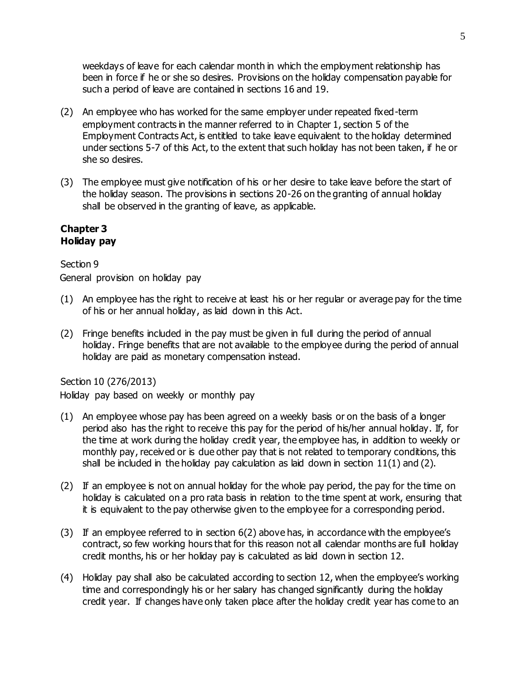weekdays of leave for each calendar month in which the employment relationship has been in force if he or she so desires. Provisions on the holiday compensation payable for such a period of leave are contained in sections 16 and 19.

- (2) An employee who has worked for the same employer under repeated fixed-term employment contracts in the manner referred to in Chapter 1, section 5 of the Employment Contracts Act, is entitled to take leave equivalent to the holiday determined under sections 5-7 of this Act, to the extent that such holiday has not been taken, if he or she so desires.
- (3) The employee must give notification of his or her desire to take leave before the start of the holiday season. The provisions in sections 20-26 on the granting of annual holiday shall be observed in the granting of leave, as applicable.

## **Chapter 3 Holiday pay**

## Section 9

General provision on holiday pay

- (1) An employee has the right to receive at least his or her regular or average pay for the time of his or her annual holiday, as laid down in this Act.
- (2) Fringe benefits included in the pay must be given in full during the period of annual holiday. Fringe benefits that are not available to the employee during the period of annual holiday are paid as monetary compensation instead.

## Section 10 (276/2013)

Holiday pay based on weekly or monthly pay

- (1) An employee whose pay has been agreed on a weekly basis or on the basis of a longer period also has the right to receive this pay for the period of his/her annual holiday. If, for the time at work during the holiday credit year, the employee has, in addition to weekly or monthly pay, received or is due other pay that is not related to temporary conditions, this shall be included in the holiday pay calculation as laid down in section  $11(1)$  and (2).
- (2) If an employee is not on annual holiday for the whole pay period, the pay for the time on holiday is calculated on a pro rata basis in relation to the time spent at work, ensuring that it is equivalent to the pay otherwise given to the employee for a corresponding period.
- (3) If an employee referred to in section 6(2) above has, in accordance with the employee's contract, so few working hours that for this reason not all calendar months are full holiday credit months, his or her holiday pay is calculated as laid down in section 12.
- (4) Holiday pay shall also be calculated according to section 12, when the employee's working time and correspondingly his or her salary has changed significantly during the holiday credit year. If changes have only taken place after the holiday credit year has come to an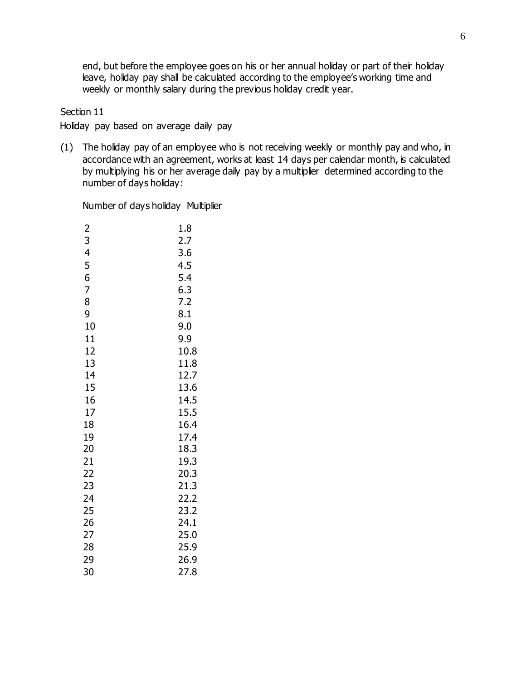end, but before the employee goes on his or her annual holiday or part of their holiday leave, holiday pay shall be calculated according to the employee's working time and weekly or monthly salary during the previous holiday credit year.

#### Section 11

Holiday pay based on average daily pay

(1) The holiday pay of an employee who is not receiving weekly or monthly pay and who, in accordance with an agreement, works at least 14 days per calendar month, is calculated by multiplying his or her average daily pay by a multiplier determined according to the number of days holiday:

Number of days holiday Multiplier

| $\overline{c}$ | 1.8  |
|----------------|------|
| 3              | 2.7  |
| 4              | 3.6  |
| 5              | 4.5  |
| 6              | 5.4  |
| 7              | 6.3  |
| 8              | 7.2  |
| 9              | 8.1  |
| 10             | 9.0  |
| 11             | 9.9  |
| 12             | 10.8 |
| 13             | 11.8 |
| 14             | 12.7 |
| 15             | 13.6 |
| 16             | 14.5 |
| 17             | 15.5 |
| 18             | 16.4 |
| 19             | 17.4 |
| 20             | 18.3 |
| 21             | 19.3 |
| 22             | 20.3 |
| 23             | 21.3 |
| 24             | 22.2 |
| 25             | 23.2 |
| 26             | 24.1 |
| 27             | 25.0 |
| 28             | 25.9 |
| 29             | 26.9 |
| 30             | 27.8 |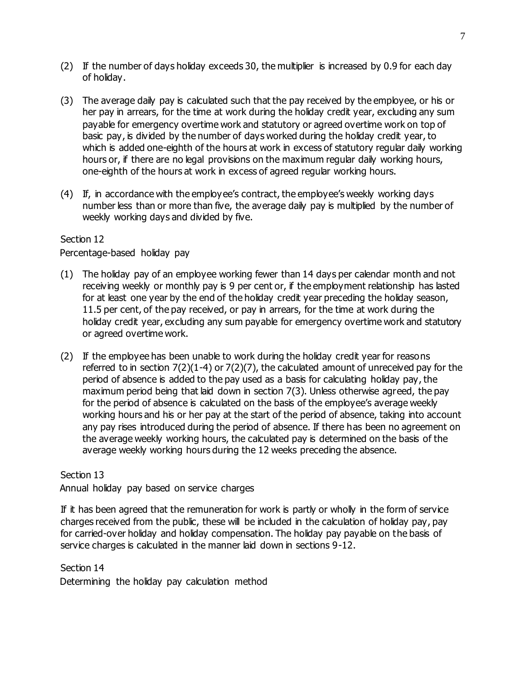- (2) If the number of days holiday exceeds 30, the multiplier is increased by 0.9 for each day of holiday.
- (3) The average daily pay is calculated such that the pay received by the employee, or his or her pay in arrears, for the time at work during the holiday credit year, excluding any sum payable for emergency overtime work and statutory or agreed overtime work on top of basic pay, is divided by the number of days worked during the holiday credit year, to which is added one-eighth of the hours at work in excess of statutory regular daily working hours or, if there are no legal provisions on the maximum regular daily working hours, one-eighth of the hours at work in excess of agreed regular working hours.
- (4) If, in accordance with the employee's contract, the employee's weekly working days number less than or more than five, the average daily pay is multiplied by the number of weekly working days and divided by five.

Percentage-based holiday pay

- (1) The holiday pay of an employee working fewer than 14 days per calendar month and not receiving weekly or monthly pay is 9 per cent or, if the employment relationship has lasted for at least one year by the end of the holiday credit year preceding the holiday season, 11.5 per cent, of the pay received, or pay in arrears, for the time at work during the holiday credit year, excluding any sum payable for emergency overtime work and statutory or agreed overtime work.
- (2) If the employee has been unable to work during the holiday credit year for reasons referred to in section  $7(2)(1-4)$  or  $7(2)(7)$ , the calculated amount of unreceived pay for the period of absence is added to the pay used as a basis for calculating holiday pay, the maximum period being that laid down in section 7(3). Unless otherwise agreed, the pay for the period of absence is calculated on the basis of the employee's average weekly working hours and his or her pay at the start of the period of absence, taking into account any pay rises introduced during the period of absence. If there has been no agreement on the average weekly working hours, the calculated pay is determined on the basis of the average weekly working hours during the 12 weeks preceding the absence.

Section 13 Annual holiday pay based on service charges

If it has been agreed that the remuneration for work is partly or wholly in the form of service charges received from the public, these will be included in the calculation of holiday pay, pay for carried-over holiday and holiday compensation. The holiday pay payable on the basis of service charges is calculated in the manner laid down in sections 9-12.

Section 14

Determining the holiday pay calculation method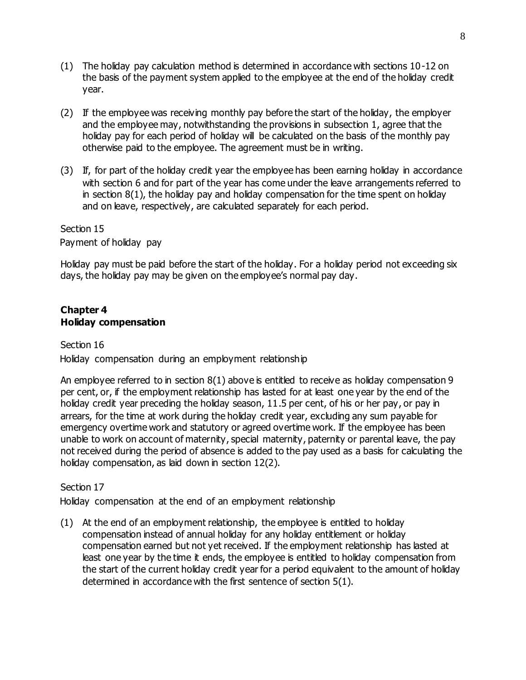- (1) The holiday pay calculation method is determined in accordance with sections 10-12 on the basis of the payment system applied to the employee at the end of the holiday credit year.
- (2) If the employee was receiving monthly pay before the start of the holiday, the employer and the employee may, notwithstanding the provisions in subsection 1, agree that the holiday pay for each period of holiday will be calculated on the basis of the monthly pay otherwise paid to the employee. The agreement must be in writing.
- (3) If, for part of the holiday credit year the employee has been earning holiday in accordance with section 6 and for part of the year has come under the leave arrangements referred to in section 8(1), the holiday pay and holiday compensation for the time spent on holiday and on leave, respectively, are calculated separately for each period.

Section 15 Payment of holiday pay

Holiday pay must be paid before the start of the holiday. For a holiday period not exceeding six days, the holiday pay may be given on the employee's normal pay day.

## **Chapter 4 Holiday compensation**

## Section 16

Holiday compensation during an employment relationship

An employee referred to in section  $8(1)$  above is entitled to receive as holiday compensation 9 per cent, or, if the employment relationship has lasted for at least one year by the end of the holiday credit year preceding the holiday season, 11.5 per cent, of his or her pay, or pay in arrears, for the time at work during the holiday credit year, excluding any sum payable for emergency overtime work and statutory or agreed overtime work. If the employee has been unable to work on account of maternity, special maternity, paternity or parental leave, the pay not received during the period of absence is added to the pay used as a basis for calculating the holiday compensation, as laid down in section 12(2).

# Section 17

Holiday compensation at the end of an employment relationship

(1) At the end of an employment relationship, the employee is entitled to holiday compensation instead of annual holiday for any holiday entitlement or holiday compensation earned but not yet received. If the employment relationship has lasted at least one year by the time it ends, the employee is entitled to holiday compensation from the start of the current holiday credit year for a period equivalent to the amount of holiday determined in accordance with the first sentence of section 5(1).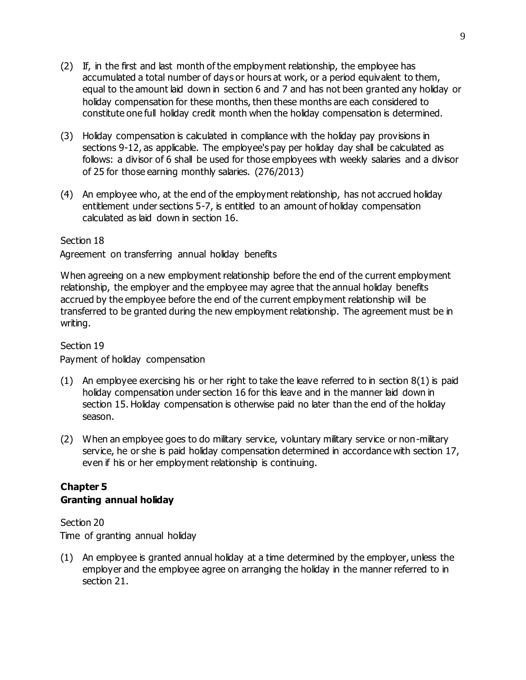- (2) If, in the first and last month of the employment relationship, the employee has accumulated a total number of days or hours at work, or a period equivalent to them, equal to the amount laid down in section 6 and 7 and has not been granted any holiday or holiday compensation for these months, then these months are each considered to constitute one full holiday credit month when the holiday compensation is determined.
- (3) Holiday compensation is calculated in compliance with the holiday pay provisions in sections 9-12, as applicable. The employee's pay per holiday day shall be calculated as follows: a divisor of 6 shall be used for those employees with weekly salaries and a divisor of 25 for those earning monthly salaries. (276/2013)
- (4) An employee who, at the end of the employment relationship, has not accrued holiday entitlement under sections 5-7, is entitled to an amount of holiday compensation calculated as laid down in section 16.

Agreement on transferring annual holiday benefits

When agreeing on a new employment relationship before the end of the current employment relationship, the employer and the employee may agree that the annual holiday benefits accrued by the employee before the end of the current employment relationship will be transferred to be granted during the new employment relationship. The agreement must be in writing.

## Section 19

Payment of holiday compensation

- $(1)$  An employee exercising his or her right to take the leave referred to in section  $8(1)$  is paid holiday compensation under section 16 for this leave and in the manner laid down in section 15. Holiday compensation is otherwise paid no later than the end of the holiday season.
- (2) When an employee goes to do military service, voluntary military service or non-military service, he or she is paid holiday compensation determined in accordance with section 17, even if his or her employment relationship is continuing.

# **Chapter 5 Granting annual holiday**

Section 20 Time of granting annual holiday

(1) An employee is granted annual holiday at a time determined by the employer, unless the employer and the employee agree on arranging the holiday in the manner referred to in section 21.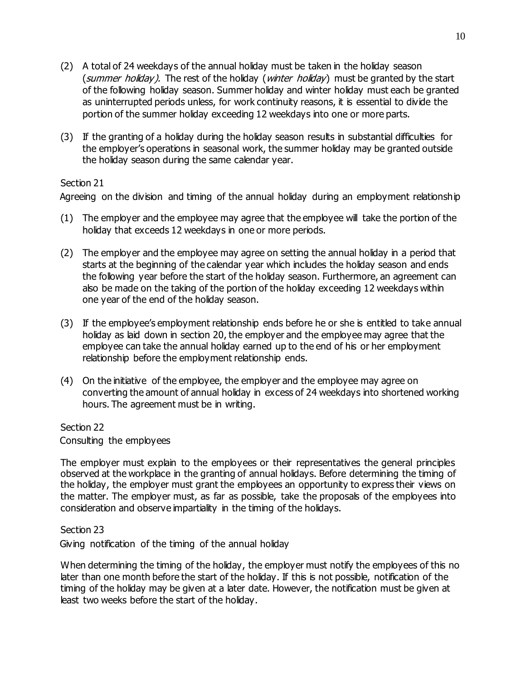- (2) A total of 24 weekdays of the annual holiday must be taken in the holiday season (summer holiday). The rest of the holiday (winter holiday) must be granted by the start of the following holiday season. Summer holiday and winter holiday must each be granted as uninterrupted periods unless, for work continuity reasons, it is essential to divide the portion of the summer holiday exceeding 12 weekdays into one or more parts.
- (3) If the granting of a holiday during the holiday season results in substantial difficulties for the employer's operations in seasonal work, the summer holiday may be granted outside the holiday season during the same calendar year.

Agreeing on the division and timing of the annual holiday during an employment relationship

- (1) The employer and the employee may agree that the employee will take the portion of the holiday that exceeds 12 weekdays in one or more periods.
- (2) The employer and the employee may agree on setting the annual holiday in a period that starts at the beginning of the calendar year which includes the holiday season and ends the following year before the start of the holiday season. Furthermore, an agreement can also be made on the taking of the portion of the holiday exceeding 12 weekdays within one year of the end of the holiday season.
- (3) If the employee's employment relationship ends before he or she is entitled to take annual holiday as laid down in section 20, the employer and the employee may agree that the employee can take the annual holiday earned up to the end of his or her employment relationship before the employment relationship ends.
- (4) On the initiative of the employee, the employer and the employee may agree on converting the amount of annual holiday in excess of 24 weekdays into shortened working hours. The agreement must be in writing.

#### Section 22

Consulting the employees

The employer must explain to the employees or their representatives the general principles observed at the workplace in the granting of annual holidays. Before determining the timing of the holiday, the employer must grant the employees an opportunity to express their views on the matter. The employer must, as far as possible, take the proposals of the employees into consideration and observe impartiality in the timing of the holidays.

#### Section 23

Giving notification of the timing of the annual holiday

When determining the timing of the holiday, the employer must notify the employees of this no later than one month before the start of the holiday. If this is not possible, notification of the timing of the holiday may be given at a later date. However, the notification must be given at least two weeks before the start of the holiday.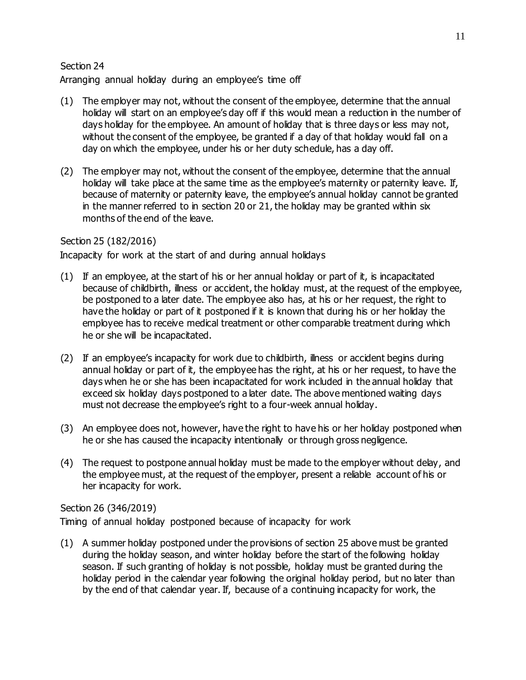Arranging annual holiday during an employee's time off

- (1) The employer may not, without the consent of the employee, determine that the annual holiday will start on an employee's day off if this would mean a reduction in the number of days holiday for the employee. An amount of holiday that is three days or less may not, without the consent of the employee, be granted if a day of that holiday would fall on a day on which the employee, under his or her duty schedule, has a day off.
- (2) The employer may not, without the consent of the employee, determine that the annual holiday will take place at the same time as the employee's maternity or paternity leave. If, because of maternity or paternity leave, the employee's annual holiday cannot be granted in the manner referred to in section 20 or 21, the holiday may be granted within six months of the end of the leave.

## Section 25 (182/2016)

Incapacity for work at the start of and during annual holidays

- (1) If an employee, at the start of his or her annual holiday or part of it, is incapacitated because of childbirth, illness or accident, the holiday must, at the request of the employee, be postponed to a later date. The employee also has, at his or her request, the right to have the holiday or part of it postponed if it is known that during his or her holiday the employee has to receive medical treatment or other comparable treatment during which he or she will be incapacitated.
- (2) If an employee's incapacity for work due to childbirth, illness or accident begins during annual holiday or part of it, the employee has the right, at his or her request, to have the days when he or she has been incapacitated for work included in the annual holiday that exceed six holiday days postponed to a later date. The above mentioned waiting days must not decrease the employee's right to a four-week annual holiday.
- (3) An employee does not, however, have the right to have his or her holiday postponed when he or she has caused the incapacity intentionally or through gross negligence.
- (4) The request to postpone annual holiday must be made to the employer without delay, and the employee must, at the request of the employer, present a reliable account of his or her incapacity for work.

## Section 26 (346/2019)

Timing of annual holiday postponed because of incapacity for work

(1) A summer holiday postponed under the provisions of section 25 above must be granted during the holiday season, and winter holiday before the start of the following holiday season. If such granting of holiday is not possible, holiday must be granted during the holiday period in the calendar year following the original holiday period, but no later than by the end of that calendar year. If, because of a continuing incapacity for work, the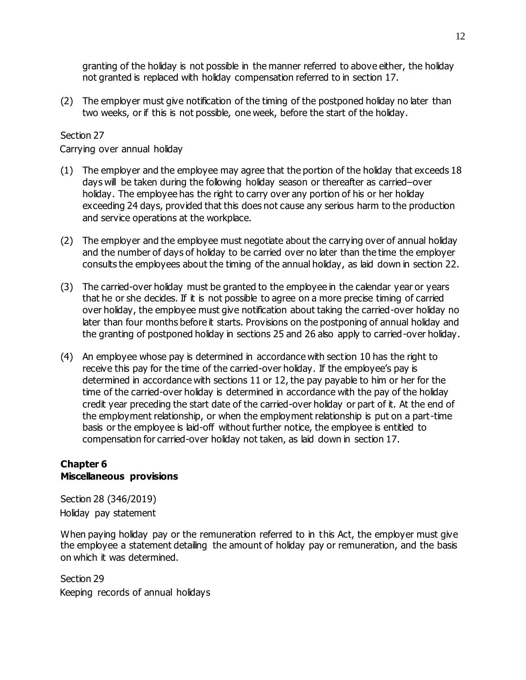granting of the holiday is not possible in the manner referred to above either, the holiday not granted is replaced with holiday compensation referred to in section 17.

(2) The employer must give notification of the timing of the postponed holiday no later than two weeks, or if this is not possible, one week, before the start of the holiday.

## Section 27

Carrying over annual holiday

- (1) The employer and the employee may agree that the portion of the holiday that exceeds 18 days will be taken during the following holiday season or thereafter as carried–over holiday. The employee has the right to carry over any portion of his or her holiday exceeding 24 days, provided that this does not cause any serious harm to the production and service operations at the workplace.
- (2) The employer and the employee must negotiate about the carrying over of annual holiday and the number of days of holiday to be carried over no later than the time the employer consults the employees about the timing of the annual holiday, as laid down in section 22.
- (3) The carried-over holiday must be granted to the employee in the calendar year or years that he or she decides. If it is not possible to agree on a more precise timing of carried over holiday, the employee must give notification about taking the carried-over holiday no later than four months before it starts. Provisions on the postponing of annual holiday and the granting of postponed holiday in sections 25 and 26 also apply to carried-over holiday.
- (4) An employee whose pay is determined in accordance with section 10 has the right to receive this pay for the time of the carried-over holiday. If the employee's pay is determined in accordance with sections 11 or 12, the pay payable to him or her for the time of the carried-over holiday is determined in accordance with the pay of the holiday credit year preceding the start date of the carried-over holiday or part of it. At the end of the employment relationship, or when the employment relationship is put on a part-time basis or the employee is laid-off without further notice, the employee is entitled to compensation for carried-over holiday not taken, as laid down in section 17.

#### **Chapter 6 Miscellaneous provisions**

Section 28 (346/2019) Holiday pay statement

When paying holiday pay or the remuneration referred to in this Act, the employer must give the employee a statement detailing the amount of holiday pay or remuneration, and the basis on which it was determined.

Section 29 Keeping records of annual holidays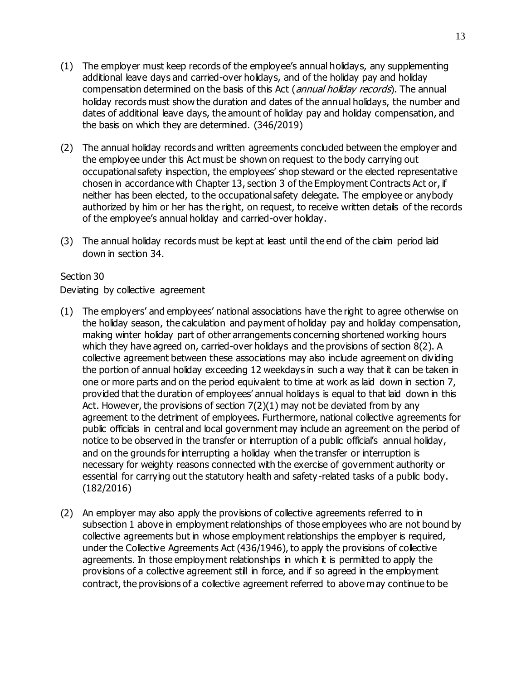- (1) The employer must keep records of the employee's annual holidays, any supplementing additional leave days and carried-over holidays, and of the holiday pay and holiday compensation determined on the basis of this Act (annual holiday records). The annual holiday records must show the duration and dates of the annual holidays, the number and dates of additional leave days, the amount of holiday pay and holiday compensation, and the basis on which they are determined. (346/2019)
- (2) The annual holiday records and written agreements concluded between the employer and the employee under this Act must be shown on request to the body carrying out occupational safety inspection, the employees' shop steward or the elected representative chosen in accordance with Chapter 13, section 3 of the Employment Contracts Act or, if neither has been elected, to the occupational safety delegate. The employee or anybody authorized by him or her has the right, on request, to receive written details of the records of the employee's annual holiday and carried-over holiday.
- (3) The annual holiday records must be kept at least until the end of the claim period laid down in section 34.

Deviating by collective agreement

- (1) The employers' and employees' national associations have the right to agree otherwise on the holiday season, the calculation and payment of holiday pay and holiday compensation, making winter holiday part of other arrangements concerning shortened working hours which they have agreed on, carried-over holidays and the provisions of section 8(2). A collective agreement between these associations may also include agreement on dividing the portion of annual holiday exceeding 12 weekdays in such a way that it can be taken in one or more parts and on the period equivalent to time at work as laid down in section 7, provided that the duration of employees' annual holidays is equal to that laid down in this Act. However, the provisions of section 7(2)(1) may not be deviated from by any agreement to the detriment of employees. Furthermore, national collective agreements for public officials in central and local government may include an agreement on the period of notice to be observed in the transfer or interruption of a public official's annual holiday, and on the grounds for interrupting a holiday when the transfer or interruption is necessary for weighty reasons connected with the exercise of government authority or essential for carrying out the statutory health and safety -related tasks of a public body. (182/2016)
- (2) An employer may also apply the provisions of collective agreements referred to in subsection 1 above in employment relationships of those employees who are not bound by collective agreements but in whose employment relationships the employer is required, under the Collective Agreements Act (436/1946), to apply the provisions of collective agreements. In those employment relationships in which it is permitted to apply the provisions of a collective agreement still in force, and if so agreed in the employment contract, the provisions of a collective agreement referred to above may continue to be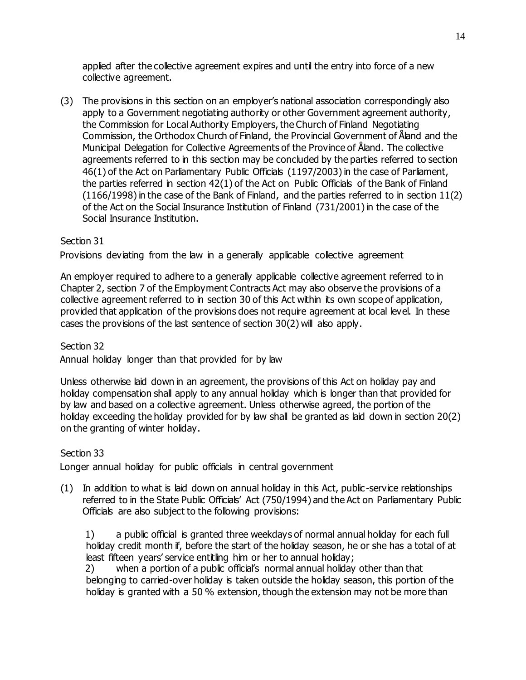applied after the collective agreement expires and until the entry into force of a new collective agreement.

(3) The provisions in this section on an employer's national association correspondingly also apply to a Government negotiating authority or other Government agreement authority, the Commission for Local Authority Employers, the Church of Finland Negotiating Commission, the Orthodox Church of Finland, the Provincial Government of Åland and the Municipal Delegation for Collective Agreements of the Province of Åland. The collective agreements referred to in this section may be concluded by the parties referred to section 46(1) of the Act on Parliamentary Public Officials (1197/2003) in the case of Parliament, the parties referred in section 42(1) of the Act on Public Officials of the Bank of Finland (1166/1998) in the case of the Bank of Finland, and the parties referred to in section 11(2) of the Act on the Social Insurance Institution of Finland (731/2001) in the case of the Social Insurance Institution.

## Section 31

Provisions deviating from the law in a generally applicable collective agreement

An employer required to adhere to a generally applicable collective agreement referred to in Chapter 2, section 7 of the Employment Contracts Act may also observe the provisions of a collective agreement referred to in section 30 of this Act within its own scope of application, provided that application of the provisions does not require agreement at local level. In these cases the provisions of the last sentence of section 30(2) will also apply.

## Section 32

Annual holiday longer than that provided for by law

Unless otherwise laid down in an agreement, the provisions of this Act on holiday pay and holiday compensation shall apply to any annual holiday which is longer than that provided for by law and based on a collective agreement. Unless otherwise agreed, the portion of the holiday exceeding the holiday provided for by law shall be granted as laid down in section 20(2) on the granting of winter holiday.

## Section 33

Longer annual holiday for public officials in central government

(1) In addition to what is laid down on annual holiday in this Act, public -service relationships referred to in the State Public Officials' Act (750/1994) and the Act on Parliamentary Public Officials are also subject to the following provisions:

1) a public official is granted three weekdays of normal annual holiday for each full holiday credit month if, before the start of the holiday season, he or she has a total of at least fifteen years' service entitling him or her to annual holiday;

2) when a portion of a public official's normal annual holiday other than that belonging to carried-over holiday is taken outside the holiday season, this portion of the holiday is granted with a 50 % extension, though the extension may not be more than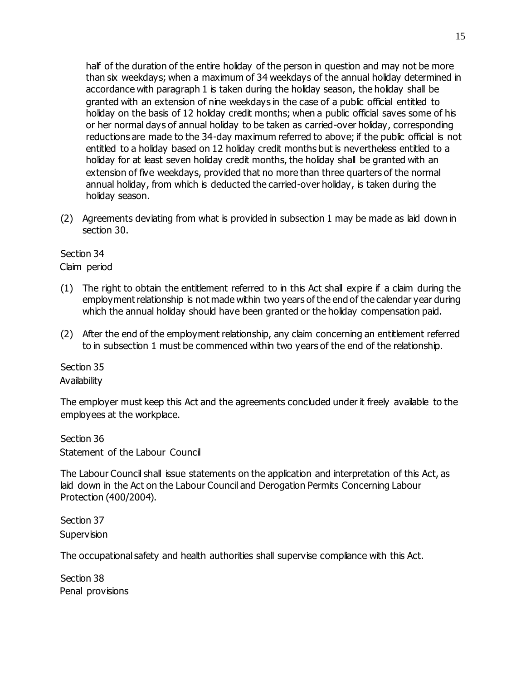half of the duration of the entire holiday of the person in question and may not be more than six weekdays; when a maximum of 34 weekdays of the annual holiday determined in accordance with paragraph 1 is taken during the holiday season, the holiday shall be granted with an extension of nine weekdays in the case of a public official entitled to holiday on the basis of 12 holiday credit months; when a public official saves some of his or her normal days of annual holiday to be taken as carried-over holiday, corresponding reductions are made to the 34-day maximum referred to above; if the public official is not entitled to a holiday based on 12 holiday credit months but is nevertheless entitled to a holiday for at least seven holiday credit months, the holiday shall be granted with an extension of five weekdays, provided that no more than three quarters of the normal annual holiday, from which is deducted the carried-over holiday, is taken during the holiday season.

(2) Agreements deviating from what is provided in subsection 1 may be made as laid down in section 30.

## Section 34

Claim period

- (1) The right to obtain the entitlement referred to in this Act shall expire if a claim during the employment relationship is not made within two years of the end of the calendar year during which the annual holiday should have been granted or the holiday compensation paid.
- (2) After the end of the employment relationship, any claim concerning an entitlement referred to in subsection 1 must be commenced within two years of the end of the relationship.

#### Section 35

#### **Availability**

The employer must keep this Act and the agreements concluded under it freely available to the employees at the workplace.

Section 36 Statement of the Labour Council

The Labour Council shall issue statements on the application and interpretation of this Act, as laid down in the Act on the Labour Council and Derogation Permits Concerning Labour Protection (400/2004).

Section 37 **Supervision** 

The occupational safety and health authorities shall supervise compliance with this Act.

Section 38 Penal provisions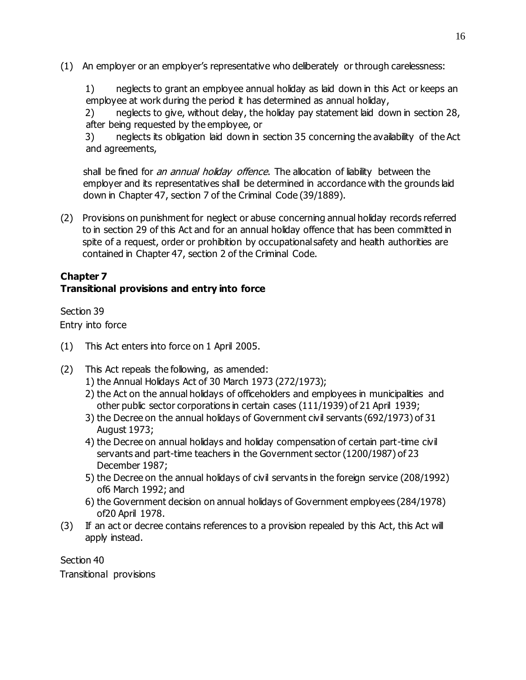(1) An employer or an employer's representative who deliberately or through carelessness:

1) neglects to grant an employee annual holiday as laid down in this Act or keeps an employee at work during the period it has determined as annual holiday,

2) neglects to give, without delay, the holiday pay statement laid down in section 28, after being requested by the employee, or

3) neglects its obligation laid down in section 35 concerning the availability of the Act and agreements,

shall be fined for *an annual holiday offence*. The allocation of liability between the employer and its representatives shall be determined in accordance with the grounds laid down in Chapter 47, section 7 of the Criminal Code (39/1889).

(2) Provisions on punishment for neglect or abuse concerning annual holiday records referred to in section 29 of this Act and for an annual holiday offence that has been committed in spite of a request, order or prohibition by occupational safety and health authorities are contained in Chapter 47, section 2 of the Criminal Code.

## **Chapter 7 Transitional provisions and entry into force**

Section 39 Entry into force

- (1) This Act enters into force on 1 April 2005.
- (2) This Act repeals the following, as amended:
	- 1) the Annual Holidays Act of 30 March 1973 (272/1973);
	- 2) the Act on the annual holidays of officeholders and employees in municipalities and other public sector corporations in certain cases (111/1939) of 21 April 1939;
	- 3) the Decree on the annual holidays of Government civil servants (692/1973) of 31 August 1973;
	- 4) the Decree on annual holidays and holiday compensation of certain part-time civil servants and part-time teachers in the Government sector (1200/1987) of 23 December 1987;
	- 5) the Decree on the annual holidays of civil servants in the foreign service (208/1992) of6 March 1992; and
	- 6) the Government decision on annual holidays of Government employees (284/1978) of20 April 1978.
- (3) If an act or decree contains references to a provision repealed by this Act, this Act will apply instead.

Section 40 Transitional provisions